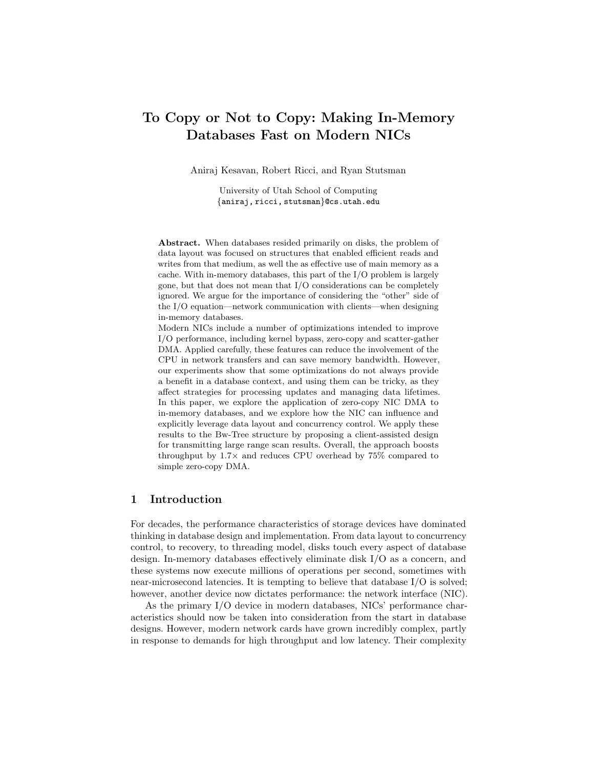# To Copy or Not to Copy: Making In-Memory Databases Fast on Modern NICs

Aniraj Kesavan, Robert Ricci, and Ryan Stutsman

University of Utah School of Computing *{*aniraj, ricci, stutsman*}*@cs.utah.edu

Abstract. When databases resided primarily on disks, the problem of data layout was focused on structures that enabled efficient reads and writes from that medium, as well the as effective use of main memory as a cache. With in-memory databases, this part of the I/O problem is largely gone, but that does not mean that I/O considerations can be completely ignored. We argue for the importance of considering the "other" side of the I/O equation—network communication with clients—when designing in-memory databases.

Modern NICs include a number of optimizations intended to improve I/O performance, including kernel bypass, zero-copy and scatter-gather DMA. Applied carefully, these features can reduce the involvement of the CPU in network transfers and can save memory bandwidth. However, our experiments show that some optimizations do not always provide a benefit in a database context, and using them can be tricky, as they affect strategies for processing updates and managing data lifetimes. In this paper, we explore the application of zero-copy NIC DMA to in-memory databases, and we explore how the NIC can influence and explicitly leverage data layout and concurrency control. We apply these results to the Bw-Tree structure by proposing a client-assisted design for transmitting large range scan results. Overall, the approach boosts throughput by  $1.7\times$  and reduces CPU overhead by 75% compared to simple zero-copy DMA.

### 1 Introduction

For decades, the performance characteristics of storage devices have dominated thinking in database design and implementation. From data layout to concurrency control, to recovery, to threading model, disks touch every aspect of database design. In-memory databases effectively eliminate disk  $I/O$  as a concern, and these systems now execute millions of operations per second, sometimes with near-microsecond latencies. It is tempting to believe that database I/O is solved; however, another device now dictates performance: the network interface (NIC).

As the primary I/O device in modern databases, NICs' performance characteristics should now be taken into consideration from the start in database designs. However, modern network cards have grown incredibly complex, partly in response to demands for high throughput and low latency. Their complexity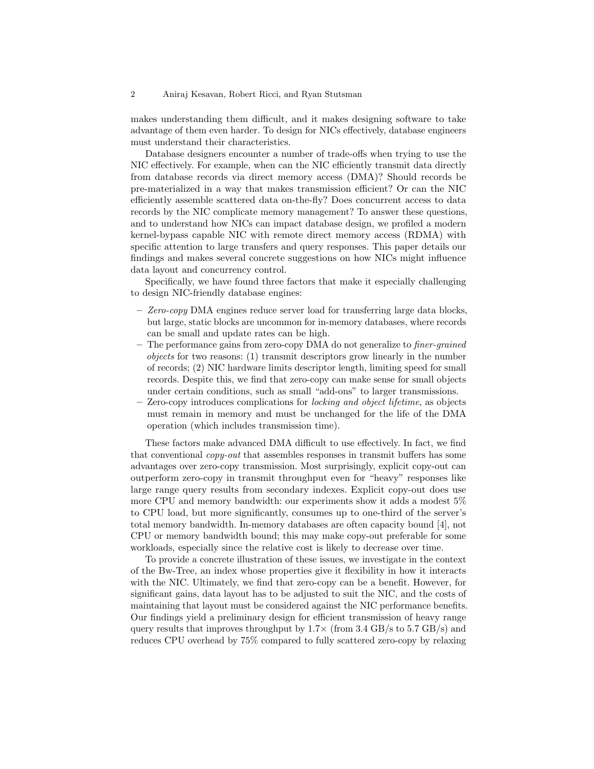makes understanding them difficult, and it makes designing software to take advantage of them even harder. To design for NICs effectively, database engineers must understand their characteristics.

Database designers encounter a number of trade-offs when trying to use the NIC effectively. For example, when can the NIC efficiently transmit data directly from database records via direct memory access (DMA)? Should records be pre-materialized in a way that makes transmission ecient? Or can the NIC efficiently assemble scattered data on-the-fly? Does concurrent access to data records by the NIC complicate memory management? To answer these questions, and to understand how NICs can impact database design, we profiled a modern kernel-bypass capable NIC with remote direct memory access (RDMA) with specific attention to large transfers and query responses. This paper details our findings and makes several concrete suggestions on how NICs might influence data layout and concurrency control.

Specifically, we have found three factors that make it especially challenging to design NIC-friendly database engines:

- *Zero-copy* DMA engines reduce server load for transferring large data blocks, but large, static blocks are uncommon for in-memory databases, where records can be small and update rates can be high.
- The performance gains from zero-copy DMA do not generalize to *finer-grained objects* for two reasons: (1) transmit descriptors grow linearly in the number of records; (2) NIC hardware limits descriptor length, limiting speed for small records. Despite this, we find that zero-copy can make sense for small objects under certain conditions, such as small "add-ons" to larger transmissions.
- Zero-copy introduces complications for *locking and object lifetime*, as objects must remain in memory and must be unchanged for the life of the DMA operation (which includes transmission time).

These factors make advanced DMA difficult to use effectively. In fact, we find that conventional *copy-out* that assembles responses in transmit buffers has some advantages over zero-copy transmission. Most surprisingly, explicit copy-out can outperform zero-copy in transmit throughput even for "heavy" responses like large range query results from secondary indexes. Explicit copy-out does use more CPU and memory bandwidth: our experiments show it adds a modest 5% to CPU load, but more significantly, consumes up to one-third of the server's total memory bandwidth. In-memory databases are often capacity bound [4], not CPU or memory bandwidth bound; this may make copy-out preferable for some workloads, especially since the relative cost is likely to decrease over time.

To provide a concrete illustration of these issues, we investigate in the context of the Bw-Tree, an index whose properties give it flexibility in how it interacts with the NIC. Ultimately, we find that zero-copy can be a benefit. However, for significant gains, data layout has to be adjusted to suit the NIC, and the costs of maintaining that layout must be considered against the NIC performance benefits. Our findings yield a preliminary design for efficient transmission of heavy range query results that improves throughput by  $1.7 \times$  (from 3.4 GB/s to 5.7 GB/s) and reduces CPU overhead by 75% compared to fully scattered zero-copy by relaxing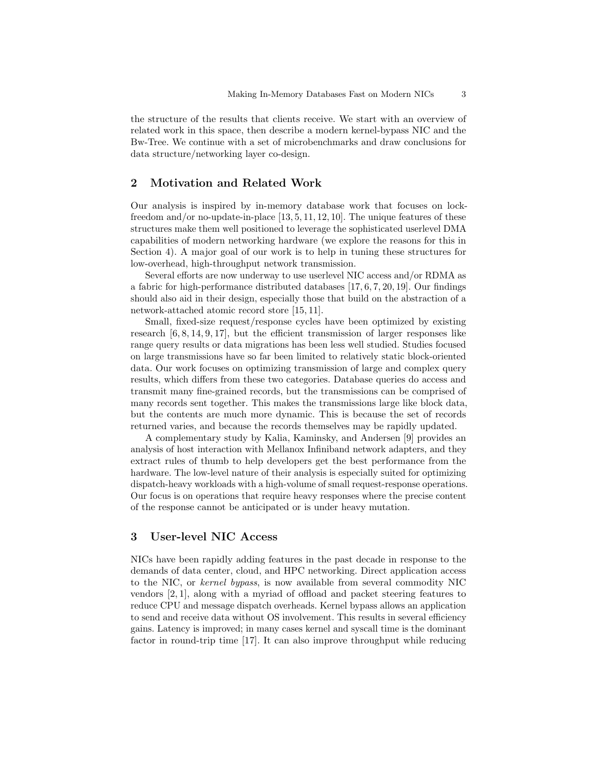the structure of the results that clients receive. We start with an overview of related work in this space, then describe a modern kernel-bypass NIC and the Bw-Tree. We continue with a set of microbenchmarks and draw conclusions for data structure/networking layer co-design.

# 2 Motivation and Related Work

Our analysis is inspired by in-memory database work that focuses on lockfreedom and/or no-update-in-place  $[13, 5, 11, 12, 10]$ . The unique features of these structures make them well positioned to leverage the sophisticated userlevel DMA capabilities of modern networking hardware (we explore the reasons for this in Section 4). A major goal of our work is to help in tuning these structures for low-overhead, high-throughput network transmission.

Several efforts are now underway to use userlevel NIC access and/or RDMA as a fabric for high-performance distributed databases [17, 6, 7, 20, 19]. Our findings should also aid in their design, especially those that build on the abstraction of a network-attached atomic record store [15, 11].

Small, fixed-size request/response cycles have been optimized by existing research  $[6, 8, 14, 9, 17]$ , but the efficient transmission of larger responses like range query results or data migrations has been less well studied. Studies focused on large transmissions have so far been limited to relatively static block-oriented data. Our work focuses on optimizing transmission of large and complex query results, which differs from these two categories. Database queries do access and transmit many fine-grained records, but the transmissions can be comprised of many records sent together. This makes the transmissions large like block data, but the contents are much more dynamic. This is because the set of records returned varies, and because the records themselves may be rapidly updated.

A complementary study by Kalia, Kaminsky, and Andersen [9] provides an analysis of host interaction with Mellanox Infiniband network adapters, and they extract rules of thumb to help developers get the best performance from the hardware. The low-level nature of their analysis is especially suited for optimizing dispatch-heavy workloads with a high-volume of small request-response operations. Our focus is on operations that require heavy responses where the precise content of the response cannot be anticipated or is under heavy mutation.

# 3 User-level NIC Access

NICs have been rapidly adding features in the past decade in response to the demands of data center, cloud, and HPC networking. Direct application access to the NIC, or *kernel bypass*, is now available from several commodity NIC vendors  $[2, 1]$ , along with a myriad of offload and packet steering features to reduce CPU and message dispatch overheads. Kernel bypass allows an application to send and receive data without OS involvement. This results in several efficiency gains. Latency is improved; in many cases kernel and syscall time is the dominant factor in round-trip time [17]. It can also improve throughput while reducing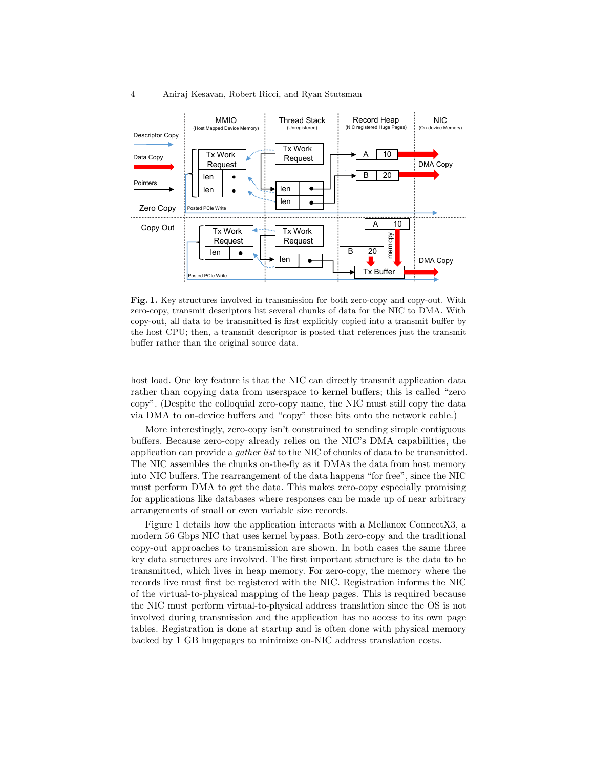

Fig. 1. Key structures involved in transmission for both zero-copy and copy-out. With zero-copy, transmit descriptors list several chunks of data for the NIC to DMA. With copy-out, all data to be transmitted is first explicitly copied into a transmit buffer by the host CPU; then, a transmit descriptor is posted that references just the transmit buffer rather than the original source data.

host load. One key feature is that the NIC can directly transmit application data rather than copying data from userspace to kernel buffers; this is called "zero" copy". (Despite the colloquial zero-copy name, the NIC must still copy the data via DMA to on-device buffers and "copy" those bits onto the network cable.)

More interestingly, zero-copy isn't constrained to sending simple contiguous buffers. Because zero-copy already relies on the NIC's DMA capabilities, the application can provide a *gather list* to the NIC of chunks of data to be transmitted. The NIC assembles the chunks on-the-fly as it DMAs the data from host memory into NIC buffers. The rearrangement of the data happens "for free", since the NIC must perform DMA to get the data. This makes zero-copy especially promising for applications like databases where responses can be made up of near arbitrary arrangements of small or even variable size records.

Figure 1 details how the application interacts with a Mellanox ConnectX3, a modern 56 Gbps NIC that uses kernel bypass. Both zero-copy and the traditional copy-out approaches to transmission are shown. In both cases the same three key data structures are involved. The first important structure is the data to be transmitted, which lives in heap memory. For zero-copy, the memory where the records live must first be registered with the NIC. Registration informs the NIC of the virtual-to-physical mapping of the heap pages. This is required because the NIC must perform virtual-to-physical address translation since the OS is not involved during transmission and the application has no access to its own page tables. Registration is done at startup and is often done with physical memory backed by 1 GB hugepages to minimize on-NIC address translation costs.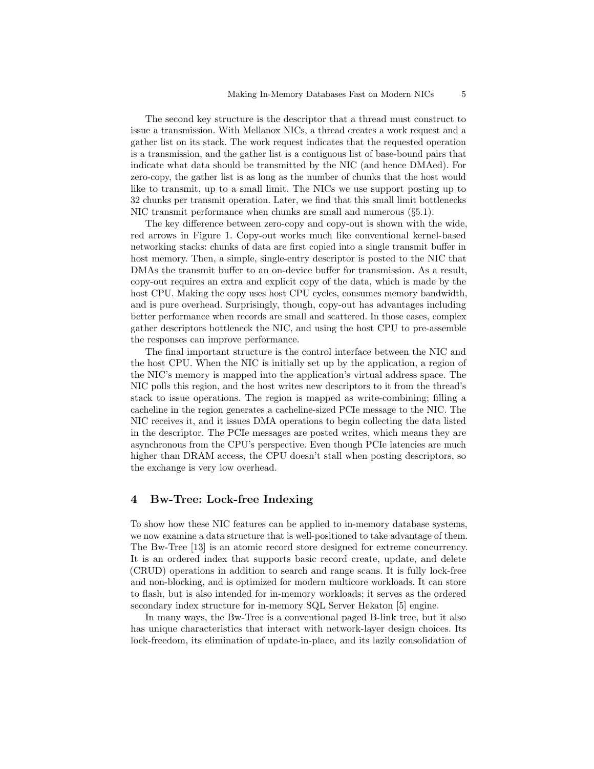The second key structure is the descriptor that a thread must construct to issue a transmission. With Mellanox NICs, a thread creates a work request and a gather list on its stack. The work request indicates that the requested operation is a transmission, and the gather list is a contiguous list of base-bound pairs that indicate what data should be transmitted by the NIC (and hence DMAed). For zero-copy, the gather list is as long as the number of chunks that the host would like to transmit, up to a small limit. The NICs we use support posting up to 32 chunks per transmit operation. Later, we find that this small limit bottlenecks NIC transmit performance when chunks are small and numerous (*§*5.1).

The key difference between zero-copy and copy-out is shown with the wide, red arrows in Figure 1. Copy-out works much like conventional kernel-based networking stacks: chunks of data are first copied into a single transmit buffer in host memory. Then, a simple, single-entry descriptor is posted to the NIC that DMAs the transmit buffer to an on-device buffer for transmission. As a result, copy-out requires an extra and explicit copy of the data, which is made by the host CPU. Making the copy uses host CPU cycles, consumes memory bandwidth, and is pure overhead. Surprisingly, though, copy-out has advantages including better performance when records are small and scattered. In those cases, complex gather descriptors bottleneck the NIC, and using the host CPU to pre-assemble the responses can improve performance.

The final important structure is the control interface between the NIC and the host CPU. When the NIC is initially set up by the application, a region of the NIC's memory is mapped into the application's virtual address space. The NIC polls this region, and the host writes new descriptors to it from the thread's stack to issue operations. The region is mapped as write-combining; filling a cacheline in the region generates a cacheline-sized PCIe message to the NIC. The NIC receives it, and it issues DMA operations to begin collecting the data listed in the descriptor. The PCIe messages are posted writes, which means they are asynchronous from the CPU's perspective. Even though PCIe latencies are much higher than DRAM access, the CPU doesn't stall when posting descriptors, so the exchange is very low overhead.

### 4 Bw-Tree: Lock-free Indexing

To show how these NIC features can be applied to in-memory database systems, we now examine a data structure that is well-positioned to take advantage of them. The Bw-Tree [13] is an atomic record store designed for extreme concurrency. It is an ordered index that supports basic record create, update, and delete (CRUD) operations in addition to search and range scans. It is fully lock-free and non-blocking, and is optimized for modern multicore workloads. It can store to flash, but is also intended for in-memory workloads; it serves as the ordered secondary index structure for in-memory SQL Server Hekaton [5] engine.

In many ways, the Bw-Tree is a conventional paged B-link tree, but it also has unique characteristics that interact with network-layer design choices. Its lock-freedom, its elimination of update-in-place, and its lazily consolidation of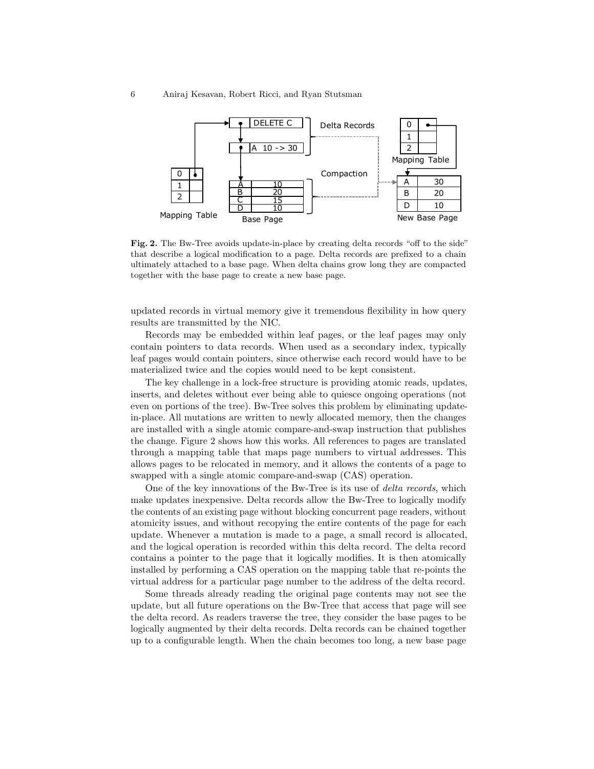

Fig. 2. The Bw-Tree avoids update-in-place by creating delta records "off to the side" that describe a logical modification to a page. Delta records are prefixed to a chain ultimately attached to a base page. When delta chains grow long they are compacted together with the base page to create a new base page.

updated records in virtual memory give it tremendous flexibility in how query results are transmitted by the NIC.

Records may be embedded within leaf pages, or the leaf pages may only contain pointers to data records. When used as a secondary index, typically leaf pages would contain pointers, since otherwise each record would have to be materialized twice and the copies would need to be kept consistent.

The key challenge in a lock-free structure is providing atomic reads, updates, inserts, and deletes without ever being able to quiesce ongoing operations (not even on portions of the tree). Bw-Tree solves this problem by eliminating updatein-place. All mutations are written to newly allocated memory, then the changes are installed with a single atomic compare-and-swap instruction that publishes the change. Figure 2 shows how this works. All references to pages are translated through a mapping table that maps page numbers to virtual addresses. This allows pages to be relocated in memory, and it allows the contents of a page to swapped with a single atomic compare-and-swap (CAS) operation.

One of the key innovations of the Bw-Tree is its use of *delta records*, which make updates inexpensive. Delta records allow the Bw-Tree to logically modify the contents of an existing page without blocking concurrent page readers, without atomicity issues, and without recopying the entire contents of the page for each update. Whenever a mutation is made to a page, a small record is allocated, and the logical operation is recorded within this delta record. The delta record contains a pointer to the page that it logically modifies. It is then atomically installed by performing a CAS operation on the mapping table that re-points the virtual address for a particular page number to the address of the delta record.

Some threads already reading the original page contents may not see the update, but all future operations on the Bw-Tree that access that page will see the delta record. As readers traverse the tree, they consider the base pages to be logically augmented by their delta records. Delta records can be chained together up to a configurable length. When the chain becomes too long, a new base page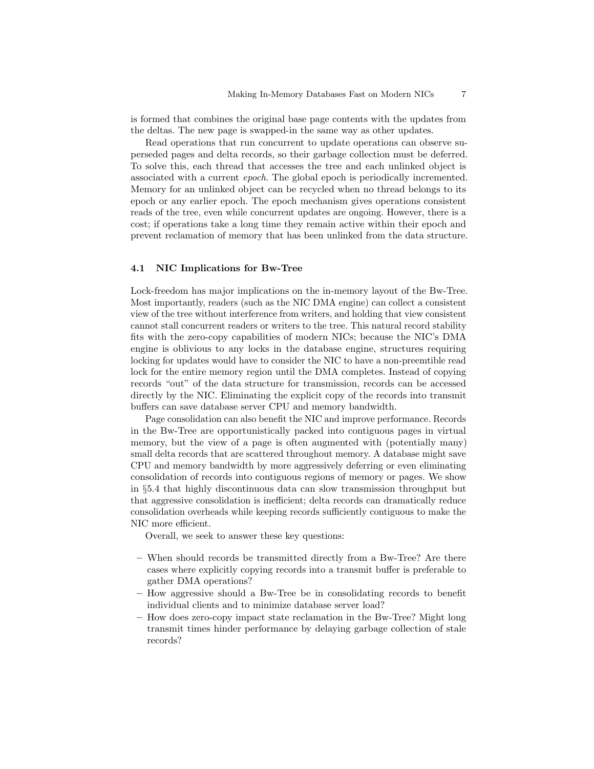is formed that combines the original base page contents with the updates from the deltas. The new page is swapped-in the same way as other updates.

Read operations that run concurrent to update operations can observe superseded pages and delta records, so their garbage collection must be deferred. To solve this, each thread that accesses the tree and each unlinked object is associated with a current *epoch*. The global epoch is periodically incremented. Memory for an unlinked object can be recycled when no thread belongs to its epoch or any earlier epoch. The epoch mechanism gives operations consistent reads of the tree, even while concurrent updates are ongoing. However, there is a cost; if operations take a long time they remain active within their epoch and prevent reclamation of memory that has been unlinked from the data structure.

### 4.1 NIC Implications for Bw-Tree

Lock-freedom has major implications on the in-memory layout of the Bw-Tree. Most importantly, readers (such as the NIC DMA engine) can collect a consistent view of the tree without interference from writers, and holding that view consistent cannot stall concurrent readers or writers to the tree. This natural record stability fits with the zero-copy capabilities of modern NICs; because the NIC's DMA engine is oblivious to any locks in the database engine, structures requiring locking for updates would have to consider the NIC to have a non-preemtible read lock for the entire memory region until the DMA completes. Instead of copying records "out" of the data structure for transmission, records can be accessed directly by the NIC. Eliminating the explicit copy of the records into transmit buffers can save database server CPU and memory bandwidth.

Page consolidation can also benefit the NIC and improve performance. Records in the Bw-Tree are opportunistically packed into contiguous pages in virtual memory, but the view of a page is often augmented with (potentially many) small delta records that are scattered throughout memory. A database might save CPU and memory bandwidth by more aggressively deferring or even eliminating consolidation of records into contiguous regions of memory or pages. We show in *§*5.4 that highly discontinuous data can slow transmission throughput but that aggressive consolidation is inefficient; delta records can dramatically reduce consolidation overheads while keeping records sufficiently contiguous to make the NIC more efficient.

Overall, we seek to answer these key questions:

- When should records be transmitted directly from a Bw-Tree? Are there cases where explicitly copying records into a transmit buffer is preferable to gather DMA operations?
- How aggressive should a Bw-Tree be in consolidating records to benefit individual clients and to minimize database server load?
- How does zero-copy impact state reclamation in the Bw-Tree? Might long transmit times hinder performance by delaying garbage collection of stale records?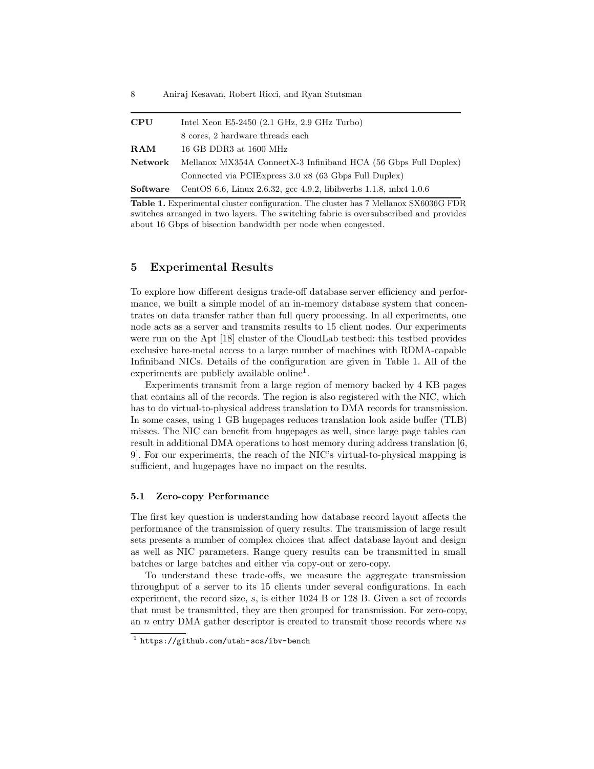| CPU            | Intel Xeon E5-2450 (2.1 GHz, 2.9 GHz Turbo)                       |
|----------------|-------------------------------------------------------------------|
|                | 8 cores, 2 hardware threads each                                  |
| ${\bf RAM}$    | 16 GB DDR3 at 1600 MHz                                            |
| <b>Network</b> | Mellanox MX354A ConnectX-3 Infiniband HCA (56 Gbps Full Duplex)   |
|                | Connected via PCIExpress 3.0 x8 (63 Gbps Full Duplex)             |
| Software       | CentOS 6.6, Linux 2.6.32, gcc 4.9.2, libibverbs 1.1.8, mlx4 1.0.6 |

Table 1. Experimental cluster configuration. The cluster has 7 Mellanox SX6036G FDR switches arranged in two layers. The switching fabric is oversubscribed and provides about 16 Gbps of bisection bandwidth per node when congested.

# 5 Experimental Results

To explore how different designs trade-off database server efficiency and performance, we built a simple model of an in-memory database system that concentrates on data transfer rather than full query processing. In all experiments, one node acts as a server and transmits results to 15 client nodes. Our experiments were run on the Apt [18] cluster of the CloudLab testbed: this testbed provides exclusive bare-metal access to a large number of machines with RDMA-capable Infiniband NICs. Details of the configuration are given in Table 1. All of the experiments are publicly available online<sup>1</sup>.

Experiments transmit from a large region of memory backed by 4 KB pages that contains all of the records. The region is also registered with the NIC, which has to do virtual-to-physical address translation to DMA records for transmission. In some cases, using 1 GB hugepages reduces translation look aside buffer (TLB) misses. The NIC can benefit from hugepages as well, since large page tables can result in additional DMA operations to host memory during address translation [6, 9]. For our experiments, the reach of the NIC's virtual-to-physical mapping is sufficient, and hugepages have no impact on the results.

#### 5.1 Zero-copy Performance

The first key question is understanding how database record layout affects the performance of the transmission of query results. The transmission of large result sets presents a number of complex choices that affect database layout and design as well as NIC parameters. Range query results can be transmitted in small batches or large batches and either via copy-out or zero-copy.

To understand these trade-offs, we measure the aggregate transmission throughput of a server to its 15 clients under several configurations. In each experiment, the record size, *s*, is either 1024 B or 128 B. Given a set of records that must be transmitted, they are then grouped for transmission. For zero-copy, an *n* entry DMA gather descriptor is created to transmit those records where *ns*

<sup>1</sup> https://github.com/utah-scs/ibv-bench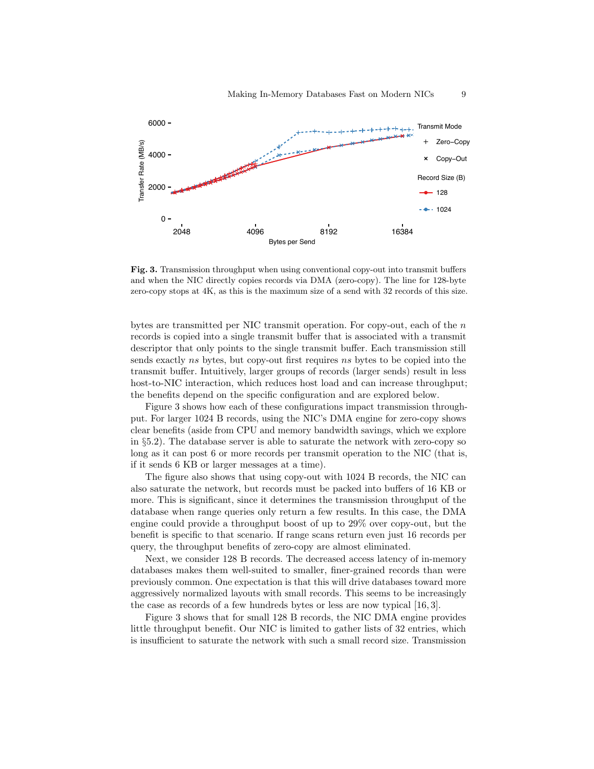

Fig. 3. Transmission throughput when using conventional copy-out into transmit buffers and when the NIC directly copies records via DMA (zero-copy). The line for 128-byte zero-copy stops at 4K, as this is the maximum size of a send with 32 records of this size.

bytes are transmitted per NIC transmit operation. For copy-out, each of the *n* records is copied into a single transmit buffer that is associated with a transmit descriptor that only points to the single transmit buffer. Each transmission still sends exactly *ns* bytes, but copy-out first requires *ns* bytes to be copied into the transmit buffer. Intuitively, larger groups of records (larger sends) result in less host-to-NIC interaction, which reduces host load and can increase throughput; the benefits depend on the specific configuration and are explored below.

Figure 3 shows how each of these configurations impact transmission throughput. For larger 1024 B records, using the NIC's DMA engine for zero-copy shows clear benefits (aside from CPU and memory bandwidth savings, which we explore in *§*5.2). The database server is able to saturate the network with zero-copy so long as it can post 6 or more records per transmit operation to the NIC (that is, if it sends 6 KB or larger messages at a time).

The figure also shows that using copy-out with 1024 B records, the NIC can also saturate the network, but records must be packed into buffers of 16 KB or more. This is significant, since it determines the transmission throughput of the database when range queries only return a few results. In this case, the DMA engine could provide a throughput boost of up to 29% over copy-out, but the benefit is specific to that scenario. If range scans return even just 16 records per query, the throughput benefits of zero-copy are almost eliminated.

Next, we consider 128 B records. The decreased access latency of in-memory databases makes them well-suited to smaller, finer-grained records than were previously common. One expectation is that this will drive databases toward more aggressively normalized layouts with small records. This seems to be increasingly the case as records of a few hundreds bytes or less are now typical [16, 3].

Figure 3 shows that for small 128 B records, the NIC DMA engine provides little throughput benefit. Our NIC is limited to gather lists of 32 entries, which is insufficient to saturate the network with such a small record size. Transmission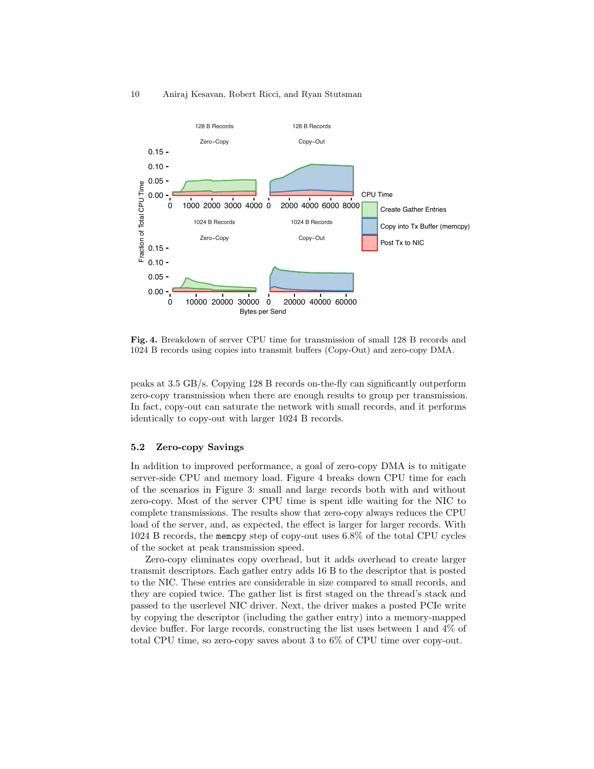

Fig. 4. Breakdown of server CPU time for transmission of small 128 B records and 1024 B records using copies into transmit buffers (Copy-Out) and zero-copy DMA.

peaks at 3.5 GB/s. Copying 128 B records on-the-fly can significantly outperform zero-copy transmission when there are enough results to group per transmission. In fact, copy-out can saturate the network with small records, and it performs identically to copy-out with larger 1024 B records.

#### 5.2 Zero-copy Savings

In addition to improved performance, a goal of zero-copy DMA is to mitigate server-side CPU and memory load. Figure 4 breaks down CPU time for each of the scenarios in Figure 3: small and large records both with and without zero-copy. Most of the server CPU time is spent idle waiting for the NIC to complete transmissions. The results show that zero-copy always reduces the CPU load of the server, and, as expected, the effect is larger for larger records. With 1024 B records, the memcpy step of copy-out uses 6.8% of the total CPU cycles of the socket at peak transmission speed.

Zero-copy eliminates copy overhead, but it adds overhead to create larger transmit descriptors. Each gather entry adds 16 B to the descriptor that is posted to the NIC. These entries are considerable in size compared to small records, and they are copied twice. The gather list is first staged on the thread's stack and passed to the userlevel NIC driver. Next, the driver makes a posted PCIe write by copying the descriptor (including the gather entry) into a memory-mapped device buffer. For large records, constructing the list uses between 1 and  $4\%$  of total CPU time, so zero-copy saves about 3 to 6% of CPU time over copy-out.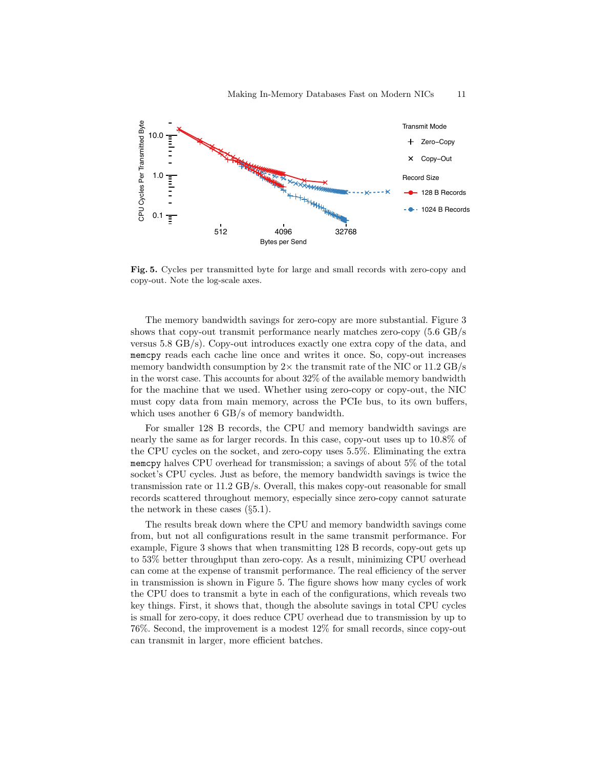

Fig. 5. Cycles per transmitted byte for large and small records with zero-copy and copy-out. Note the log-scale axes.

The memory bandwidth savings for zero-copy are more substantial. Figure 3 shows that copy-out transmit performance nearly matches zero-copy (5.6 GB/s versus 5.8 GB/s). Copy-out introduces exactly one extra copy of the data, and memcpy reads each cache line once and writes it once. So, copy-out increases memory bandwidth consumption by  $2\times$  the transmit rate of the NIC or 11.2 GB/s in the worst case. This accounts for about 32% of the available memory bandwidth for the machine that we used. Whether using zero-copy or copy-out, the NIC must copy data from main memory, across the PCIe bus, to its own buffers, which uses another 6 GB/s of memory bandwidth.

For smaller 128 B records, the CPU and memory bandwidth savings are nearly the same as for larger records. In this case, copy-out uses up to 10.8% of the CPU cycles on the socket, and zero-copy uses 5.5%. Eliminating the extra memcpy halves CPU overhead for transmission; a savings of about 5% of the total socket's CPU cycles. Just as before, the memory bandwidth savings is twice the transmission rate or 11.2 GB/s. Overall, this makes copy-out reasonable for small records scattered throughout memory, especially since zero-copy cannot saturate the network in these cases (*§*5.1).

The results break down where the CPU and memory bandwidth savings come from, but not all configurations result in the same transmit performance. For example, Figure 3 shows that when transmitting 128 B records, copy-out gets up to 53% better throughput than zero-copy. As a result, minimizing CPU overhead can come at the expense of transmit performance. The real efficiency of the server in transmission is shown in Figure 5. The figure shows how many cycles of work the CPU does to transmit a byte in each of the configurations, which reveals two key things. First, it shows that, though the absolute savings in total CPU cycles is small for zero-copy, it does reduce CPU overhead due to transmission by up to 76%. Second, the improvement is a modest 12% for small records, since copy-out can transmit in larger, more efficient batches.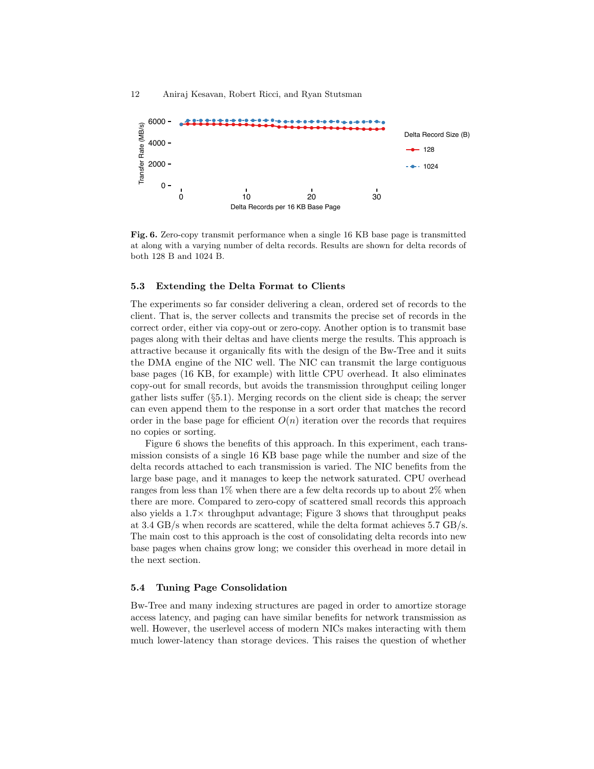

Fig. 6. Zero-copy transmit performance when a single 16 KB base page is transmitted at along with a varying number of delta records. Results are shown for delta records of both 128 B and 1024 B.

#### 5.3 Extending the Delta Format to Clients

The experiments so far consider delivering a clean, ordered set of records to the client. That is, the server collects and transmits the precise set of records in the correct order, either via copy-out or zero-copy. Another option is to transmit base pages along with their deltas and have clients merge the results. This approach is attractive because it organically fits with the design of the Bw-Tree and it suits the DMA engine of the NIC well. The NIC can transmit the large contiguous base pages (16 KB, for example) with little CPU overhead. It also eliminates copy-out for small records, but avoids the transmission throughput ceiling longer gather lists suffer (§5.1). Merging records on the client side is cheap; the server can even append them to the response in a sort order that matches the record order in the base page for efficient  $O(n)$  iteration over the records that requires no copies or sorting.

Figure 6 shows the benefits of this approach. In this experiment, each transmission consists of a single 16 KB base page while the number and size of the delta records attached to each transmission is varied. The NIC benefits from the large base page, and it manages to keep the network saturated. CPU overhead ranges from less than 1% when there are a few delta records up to about 2% when there are more. Compared to zero-copy of scattered small records this approach also yields a  $1.7\times$  throughput advantage; Figure 3 shows that throughput peaks at 3.4 GB/s when records are scattered, while the delta format achieves 5.7 GB/s. The main cost to this approach is the cost of consolidating delta records into new base pages when chains grow long; we consider this overhead in more detail in the next section.

### 5.4 Tuning Page Consolidation

Bw-Tree and many indexing structures are paged in order to amortize storage access latency, and paging can have similar benefits for network transmission as well. However, the userlevel access of modern NICs makes interacting with them much lower-latency than storage devices. This raises the question of whether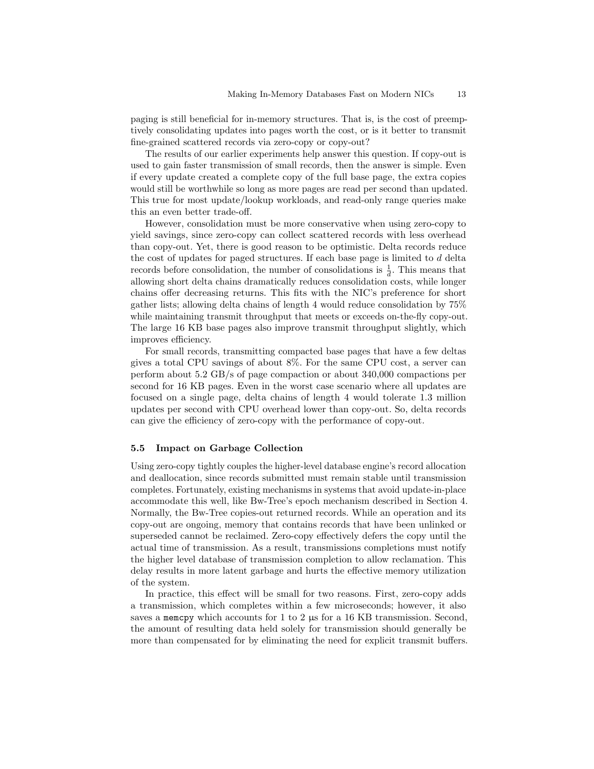paging is still beneficial for in-memory structures. That is, is the cost of preemptively consolidating updates into pages worth the cost, or is it better to transmit fine-grained scattered records via zero-copy or copy-out?

The results of our earlier experiments help answer this question. If copy-out is used to gain faster transmission of small records, then the answer is simple. Even if every update created a complete copy of the full base page, the extra copies would still be worthwhile so long as more pages are read per second than updated. This true for most update/lookup workloads, and read-only range queries make this an even better trade-off.

However, consolidation must be more conservative when using zero-copy to yield savings, since zero-copy can collect scattered records with less overhead than copy-out. Yet, there is good reason to be optimistic. Delta records reduce the cost of updates for paged structures. If each base page is limited to *d* delta records before consolidation, the number of consolidations is  $\frac{1}{d}$ . This means that allowing short delta chains dramatically reduces consolidation costs, while longer chains offer decreasing returns. This fits with the NIC's preference for short gather lists; allowing delta chains of length 4 would reduce consolidation by 75% while maintaining transmit throughput that meets or exceeds on-the-fly copy-out. The large 16 KB base pages also improve transmit throughput slightly, which improves efficiency.

For small records, transmitting compacted base pages that have a few deltas gives a total CPU savings of about 8%. For the same CPU cost, a server can perform about 5.2 GB/s of page compaction or about 340,000 compactions per second for 16 KB pages. Even in the worst case scenario where all updates are focused on a single page, delta chains of length 4 would tolerate 1.3 million updates per second with CPU overhead lower than copy-out. So, delta records can give the efficiency of zero-copy with the performance of copy-out.

#### 5.5 Impact on Garbage Collection

Using zero-copy tightly couples the higher-level database engine's record allocation and deallocation, since records submitted must remain stable until transmission completes. Fortunately, existing mechanisms in systems that avoid update-in-place accommodate this well, like Bw-Tree's epoch mechanism described in Section 4. Normally, the Bw-Tree copies-out returned records. While an operation and its copy-out are ongoing, memory that contains records that have been unlinked or superseded cannot be reclaimed. Zero-copy effectively defers the copy until the actual time of transmission. As a result, transmissions completions must notify the higher level database of transmission completion to allow reclamation. This delay results in more latent garbage and hurts the effective memory utilization of the system.

In practice, this effect will be small for two reasons. First, zero-copy adds a transmission, which completes within a few microseconds; however, it also saves a memory which accounts for 1 to 2  $\mu$ s for a 16 KB transmission. Second, the amount of resulting data held solely for transmission should generally be more than compensated for by eliminating the need for explicit transmit buffers.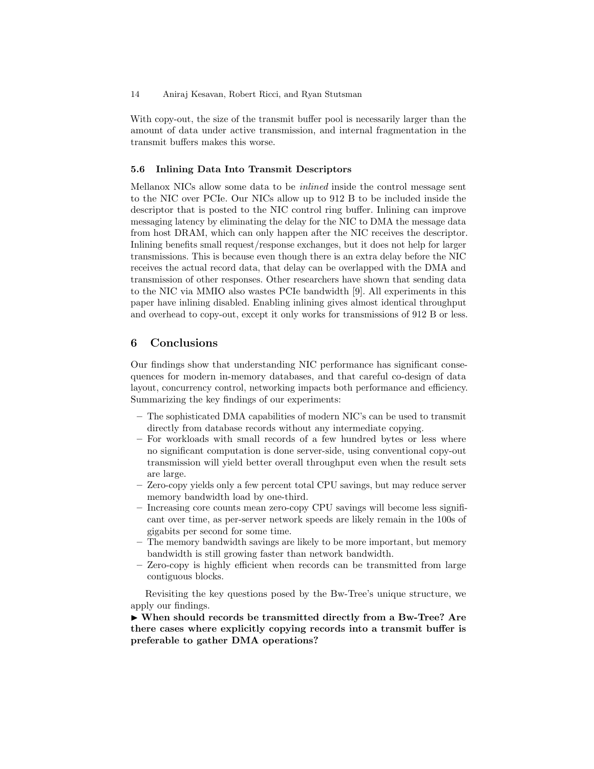With copy-out, the size of the transmit buffer pool is necessarily larger than the amount of data under active transmission, and internal fragmentation in the transmit buffers makes this worse.

#### 5.6 Inlining Data Into Transmit Descriptors

Mellanox NICs allow some data to be *inlined* inside the control message sent to the NIC over PCIe. Our NICs allow up to 912 B to be included inside the descriptor that is posted to the NIC control ring buffer. Inlining can improve messaging latency by eliminating the delay for the NIC to DMA the message data from host DRAM, which can only happen after the NIC receives the descriptor. Inlining benefits small request/response exchanges, but it does not help for larger transmissions. This is because even though there is an extra delay before the NIC receives the actual record data, that delay can be overlapped with the DMA and transmission of other responses. Other researchers have shown that sending data to the NIC via MMIO also wastes PCIe bandwidth [9]. All experiments in this paper have inlining disabled. Enabling inlining gives almost identical throughput and overhead to copy-out, except it only works for transmissions of 912 B or less.

# 6 Conclusions

Our findings show that understanding NIC performance has significant consequences for modern in-memory databases, and that careful co-design of data layout, concurrency control, networking impacts both performance and efficiency. Summarizing the key findings of our experiments:

- The sophisticated DMA capabilities of modern NIC's can be used to transmit directly from database records without any intermediate copying.
- For workloads with small records of a few hundred bytes or less where no significant computation is done server-side, using conventional copy-out transmission will yield better overall throughput even when the result sets are large.
- Zero-copy yields only a few percent total CPU savings, but may reduce server memory bandwidth load by one-third.
- Increasing core counts mean zero-copy CPU savings will become less significant over time, as per-server network speeds are likely remain in the 100s of gigabits per second for some time.
- The memory bandwidth savings are likely to be more important, but memory bandwidth is still growing faster than network bandwidth.
- $-$  Zero-copy is highly efficient when records can be transmitted from large contiguous blocks.

Revisiting the key questions posed by the Bw-Tree's unique structure, we apply our findings.

• When should records be transmitted directly from a Bw-Tree? Are there cases where explicitly copying records into a transmit buffer is preferable to gather DMA operations?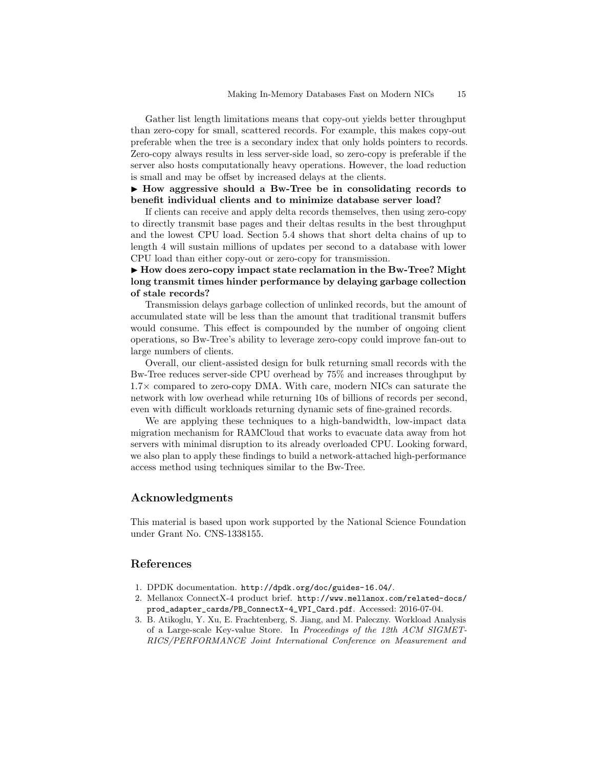Gather list length limitations means that copy-out yields better throughput than zero-copy for small, scattered records. For example, this makes copy-out preferable when the tree is a secondary index that only holds pointers to records. Zero-copy always results in less server-side load, so zero-copy is preferable if the server also hosts computationally heavy operations. However, the load reduction is small and may be offset by increased delays at the clients.

### $\blacktriangleright$  How aggressive should a Bw-Tree be in consolidating records to benefit individual clients and to minimize database server load?

If clients can receive and apply delta records themselves, then using zero-copy to directly transmit base pages and their deltas results in the best throughput and the lowest CPU load. Section 5.4 shows that short delta chains of up to length 4 will sustain millions of updates per second to a database with lower CPU load than either copy-out or zero-copy for transmission.

# $\blacktriangleright$  How does zero-copy impact state reclamation in the Bw-Tree? Might long transmit times hinder performance by delaying garbage collection of stale records?

Transmission delays garbage collection of unlinked records, but the amount of accumulated state will be less than the amount that traditional transmit buffers would consume. This effect is compounded by the number of ongoing client operations, so Bw-Tree's ability to leverage zero-copy could improve fan-out to large numbers of clients.

Overall, our client-assisted design for bulk returning small records with the Bw-Tree reduces server-side CPU overhead by 75% and increases throughput by  $1.7\times$  compared to zero-copy DMA. With care, modern NICs can saturate the network with low overhead while returning 10s of billions of records per second, even with difficult workloads returning dynamic sets of fine-grained records.

We are applying these techniques to a high-bandwidth, low-impact data migration mechanism for RAMCloud that works to evacuate data away from hot servers with minimal disruption to its already overloaded CPU. Looking forward, we also plan to apply these findings to build a network-attached high-performance access method using techniques similar to the Bw-Tree.

# Acknowledgments

This material is based upon work supported by the National Science Foundation under Grant No. CNS-1338155.

### References

- 1. DPDK documentation. http://dpdk.org/doc/guides-16.04/.
- 2. Mellanox ConnectX-4 product brief. http://www.mellanox.com/related-docs/ prod\_adapter\_cards/PB\_ConnectX-4\_VPI\_Card.pdf. Accessed: 2016-07-04.
- 3. B. Atikoglu, Y. Xu, E. Frachtenberg, S. Jiang, and M. Paleczny. Workload Analysis of a Large-scale Key-value Store. In *Proceedings of the 12th ACM SIGMET-RICS/PERFORMANCE Joint International Conference on Measurement and*